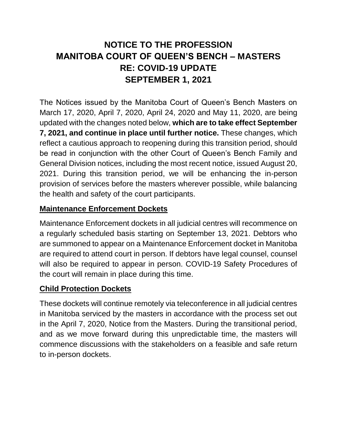# **NOTICE TO THE PROFESSION MANITOBA COURT OF QUEEN'S BENCH – MASTERS RE: COVID-19 UPDATE SEPTEMBER 1, 2021**

The Notices issued by the Manitoba Court of Queen's Bench Masters on March 17, 2020, April 7, 2020, April 24, 2020 and May 11, 2020, are being updated with the changes noted below, **which are to take effect September 7, 2021, and continue in place until further notice.** These changes, which reflect a cautious approach to reopening during this transition period, should be read in conjunction with the other Court of Queen's Bench Family and General Division notices, including the most recent notice, issued August 20, 2021. During this transition period, we will be enhancing the in-person provision of services before the masters wherever possible, while balancing the health and safety of the court participants.

## **Maintenance Enforcement Dockets**

Maintenance Enforcement dockets in all judicial centres will recommence on a regularly scheduled basis starting on September 13, 2021. Debtors who are summoned to appear on a Maintenance Enforcement docket in Manitoba are required to attend court in person. If debtors have legal counsel, counsel will also be required to appear in person. COVID-19 Safety Procedures of the court will remain in place during this time.

#### **Child Protection Dockets**

These dockets will continue remotely via teleconference in all judicial centres in Manitoba serviced by the masters in accordance with the process set out in the April 7, 2020, Notice from the Masters. During the transitional period, and as we move forward during this unpredictable time, the masters will commence discussions with the stakeholders on a feasible and safe return to in-person dockets.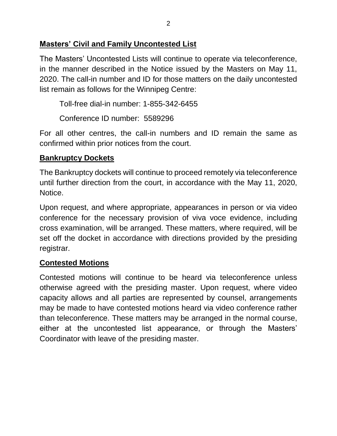#### **Masters' Civil and Family Uncontested List**

The Masters' Uncontested Lists will continue to operate via teleconference, in the manner described in the Notice issued by the Masters on May 11, 2020. The call-in number and ID for those matters on the daily uncontested list remain as follows for the Winnipeg Centre:

Toll-free dial-in number: 1-855-342-6455

Conference ID number: 5589296

For all other centres, the call-in numbers and ID remain the same as confirmed within prior notices from the court.

#### **Bankruptcy Dockets**

The Bankruptcy dockets will continue to proceed remotely via teleconference until further direction from the court, in accordance with the May 11, 2020, Notice.

Upon request, and where appropriate, appearances in person or via video conference for the necessary provision of viva voce evidence, including cross examination, will be arranged. These matters, where required, will be set off the docket in accordance with directions provided by the presiding registrar.

#### **Contested Motions**

Contested motions will continue to be heard via teleconference unless otherwise agreed with the presiding master. Upon request, where video capacity allows and all parties are represented by counsel, arrangements may be made to have contested motions heard via video conference rather than teleconference. These matters may be arranged in the normal course, either at the uncontested list appearance, or through the Masters' Coordinator with leave of the presiding master.